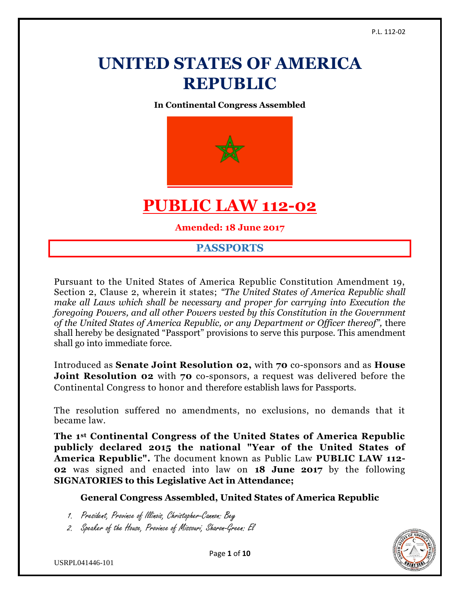# **UNITED STATES OF AMERICA REPUBLIC**

**In Continental Congress Assembled**



# **PUBLIC LAW 112-02**

**Amended: 18 June 2017**

# **PASSPORTS**

Pursuant to the United States of America Republic Constitution Amendment 19, Section 2, Clause 2, wherein it states; *"The United States of America Republic shall make all Laws which shall be necessary and proper for carrying into Execution the foregoing Powers, and all other Powers vested by this Constitution in the Government of the United States of America Republic, or any Department or Officer thereof",* there shall hereby be designated "Passport" provisions to serve this purpose. This amendment shall go into immediate force.

Introduced as **Senate Joint Resolution 02,** with **70** co-sponsors and as **House Joint Resolution 02** with 70 co-sponsors, a request was delivered before the Continental Congress to honor and therefore establish laws for Passports.

The resolution suffered no amendments, no exclusions, no demands that it became law.

**The 1st Continental Congress of the United States of America Republic publicly declared 2015 the national "Year of the United States of America Republic".** The document known as Public Law **PUBLIC LAW 112- 02** was signed and enacted into law on **18 June 2017** by the following **SIGNATORIES to this Legislative Act in Attendance;**

#### **General Congress Assembled, United States of America Republic**

- 1. President, Province of Illinois, Christopher-Cannon: Bey
- 2. Speaker of the House, Province of Missouri, Sharon-Green: El



Page **1** of **10**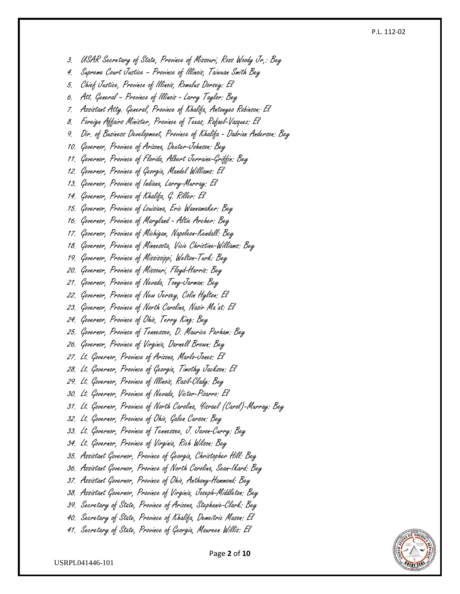3. USAR Secretary of State, Province of Missouri, Ross Woody Jr,: Bey

- 4. Supreme Court Justice Province of Illinois, Taiwuan Smith Bey
- 5. Chief Justice, Province of Illinois, Romulus Dorsey: El
- 6. Att. General Province of Illinois Larry Taylor: Bey
- 7. Assistant Atty. General, Province of Khalifa, Antonyeo Robinson: El
- 8. Foreign Affairs Minister, Province of Texas, Rafael-Vazquez: El
- 9. Dir. of Business Development, Province of Khalifa Dadrian Anderson: Bey
- 10. Governor, Province of Arizona, Dexter-Johnson: Bey
- 11. Governor, Province of Florida, Albert Jerraine -Griffin: Bey
- 12. Governor, Province of Georgia, Mandel Williams: El
- 13. Governor, Province of Indiana, Larry -Murray: El
- 14. Governor, Province of Khalifa, G. Riller: El
- 15. Governor, Province of Louisiana, Eric Wannamaker: Bey
- 16. Governor, Province of Maryland Altie Archer: Bey
- 17. Governor, Province of Michigan, Napoleon -Kendall: Bey
- 18. Governor, Province of Minnesota, Vicie Christine -Williams: Bey
- 19. Governor, Province of Mississippi, Welton -Turk: Bey
- 20. Governor, Province of Missouri, Floyd-Harris: Bey
- 21. Governor, Province of Nevada, Tony -Jarman: Bey
- 22. Governor, Province of New Jersey, Colin Hylton: El
- 23. Governor, Province of North Carolina, Nasir Ma'at: El
- 24. Governor, Province of Ohio, Terry King: Bey
- 25. Governor, Province of Tennessee, D. Maurice Parham: Bey
- 26. Governor, Province of Virginia, Darnell Brown: Bey
- 27. Lt. Governor, Province of Arizona, Marlo -Jones: El
- 28. Lt. Governor, Province of Georgia, Timothy Jackson: El
- 29. Lt. Governor, Province of Illinois, Rasil-Clady: Bey
- 30. Lt. Governor, Province of Nevada, Victor-Pizarro: El
- 31. Lt. Governor, Province of North Carolina, Yisrael (Carol) -Murray: Bey
- 32. Lt. Governor, Province of Ohio, Galen Carson: Bey
- 33. Lt. Governor, Province of Tennessee, J. Javon-Curry: Bey
- 34. Lt. Governor, Province of Virginia, Rich Wilson: Bey
- 35. Assistant Governor, Province of Georgia, Christopher Hill: Bey
- 36. Assistant Governor, Province of North Carolina, Sean -Ikard: Bey
- 37. Assistant Governor, Province of Ohio, Anthony Hammond: Bey
- 38. Assistant Governor, Province of Virginia, Joseph -Middleton: Bey
- 39. Secretary of State, Province of Arizona, Stephanie -Clark: Bey
- 40. Secretary of State, Province of Khalifa, Demeitric Mason: El
- 41. Secretary of State, Province of Georgia, Maureen Willis: El

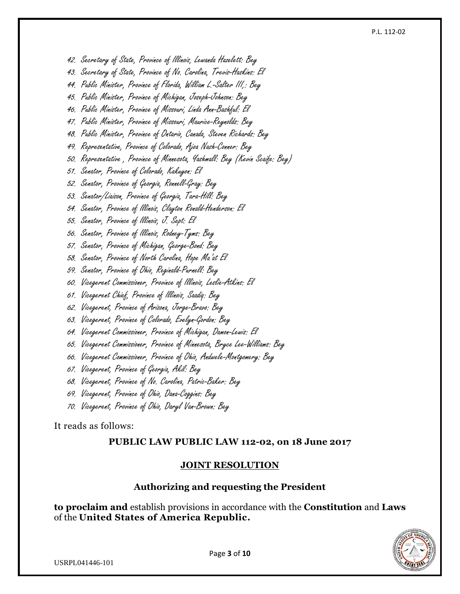42. Secretary of State, Province of Illinois, Lewanda Hazelett: Bey

43. Secretary of State, Province of No. Carolina, Trevis-Haskins: El

44. Public Minister, Province of Florida, William L.-Salter III,: Bey

45. Public Minister, Province of Michigan, Joseph-Johnson: Bey

46. Public Minister, Province of Missouri, Linda Ann-Bashful: El

47. Public Minister, Province of Missouri, Maurice-Reynolds: Bey

48. Public Minister, Province of Ontario, Canada, Steven Richards: Bey

49. Representative, Province of Colorado, Ajoa Nash-Conner: Bey

50. Representative , Province of Minnesota, Yashmall: Bey (Kevin Scaife: Bey)

51. Senator, Province of Colorado, Kakuyon: El

52. Senator, Province of Georgia, Ronnell-Gray: Bey

53. Senator/Liaison, Province of Georgia, Tara-Hill: Bey

54. Senator, Province of Illinois, Clayton Ronald-Henderson: El

55. Senator, Province of Illinois, J. Sept: El

56. Senator, Province of Illinois, Rodney-Tyms: Bey

57. Senator, Province of Michigan, George-Bond: Bey

58. Senator, Province of North Carolina, Hope Ma'at El

59. Senator, Province of Ohio, Reginald-Purnell: Bey

60. Vicegerent Commissioner, Province of Illinois, Leslie-Atkins: El

61. Vicegerent Chief, Province of Illinois, Saadiq: Bey

62. Vicegerent, Province of Arizona, Jorge-Bravo: Bey

63. Vicegerent, Province of Colorado, Evelyn-Gordon: Bey

64. Vicegerent Commissioner, Province of Michigan, Damon-Lewis: El

65. Vicegerent Commissioner, Province of Minnesota, Bryce Lee-Williams: Bey

66. Vicegerent Commissioner, Province of Ohio, Andwele-Montgomery: Bey

67. Vicegerent, Province of Georgia, Akil: Bey

68. Vicegerent, Province of No. Carolina, Patric-Baker: Bey

69. Vicegerent, Province of Ohio, Dana-Coggins: Bey

70. Vicegerent, Province of Ohio, Daryl Van-Brown: Bey

It reads as follows:

#### **PUBLIC LAW PUBLIC LAW 112-02, on 18 June 2017**

#### **JOINT RESOLUTION**

#### **Authorizing and requesting the President**

**to proclaim and** establish provisions in accordance with the **Constitution** and **Laws** of the **United States of America Republic.**



USRPL041446-101

Page **3** of **10**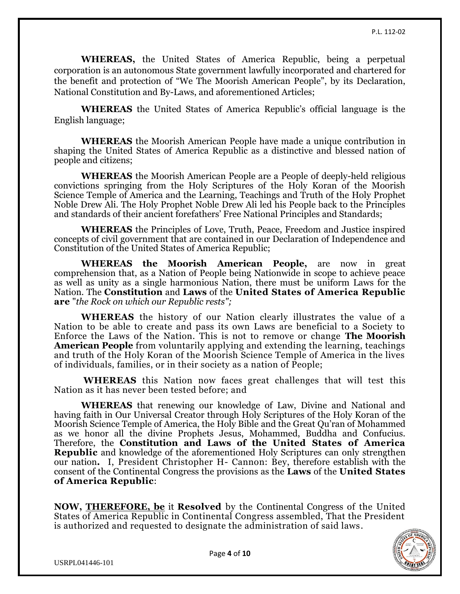**WHEREAS,** the United States of America Republic, being a perpetual corporation is an autonomous State government lawfully incorporated and chartered for the benefit and protection of "We The Moorish American People", by its Declaration, National Constitution and By-Laws, and aforementioned Articles;

**WHEREAS** the United States of America Republic's official language is the English language;

**WHEREAS** the Moorish American People have made a unique contribution in shaping the United States of America Republic as a distinctive and blessed nation of people and citizens;

**WHEREAS** the Moorish American People are a People of deeply-held religious convictions springing from the Holy Scriptures of the Holy Koran of the Moorish Science Temple of America and the Learning, Teachings and Truth of the Holy Prophet Noble Drew Ali. The Holy Prophet Noble Drew Ali led his People back to the Principles and standards of their ancient forefathers' Free National Principles and Standards;

**WHEREAS** the Principles of Love, Truth, Peace, Freedom and Justice inspired concepts of civil government that are contained in our Declaration of Independence and Constitution of the United States of America Republic;

**WHEREAS the Moorish American People,** are now in great comprehension that, as a Nation of People being Nationwide in scope to achieve peace as well as unity as a single harmonious Nation, there must be uniform Laws for the Nation. The **Constitution** and **Laws** of the **United States of America Republic are** "*the Rock on which our Republic rests";*

**WHEREAS** the history of our Nation clearly illustrates the value of a Nation to be able to create and pass its own Laws are beneficial to a Society to Enforce the Laws of the Nation. This is not to remove or change **The Moorish American People** from voluntarily applying and extending the learning, teachings and truth of the Holy Koran of the Moorish Science Temple of America in the lives of individuals, families, or in their society as a nation of People;

**WHEREAS** this Nation now faces great challenges that will test this Nation as it has never been tested before; and

**WHEREAS** that renewing our knowledge of Law, Divine and National and having faith in Our Universal Creator through Holy Scriptures of the Holy Koran of the Moorish Science Temple of America, the Holy Bible and the Great Qu'ran of Mohammed as we honor all the divine Prophets Jesus, Mohammed, Buddha and Confucius. Therefore, the **Constitution and Laws of the United States of America Republic** and knowledge of the aforementioned Holy Scriptures can only strengthen our nation**.** I, President Christopher H- Cannon: Bey, therefore establish with the consent of the Continental Congress the provisions as the **Laws** of the **United States of America Republic**:

**NOW, [THEREFORE, be](http://therefore.be/)** it **Resolved** by the Continental Congress of the United States of America Republic in Continental Congress assembled, That the President is authorized and requested to designate the administration of said laws.

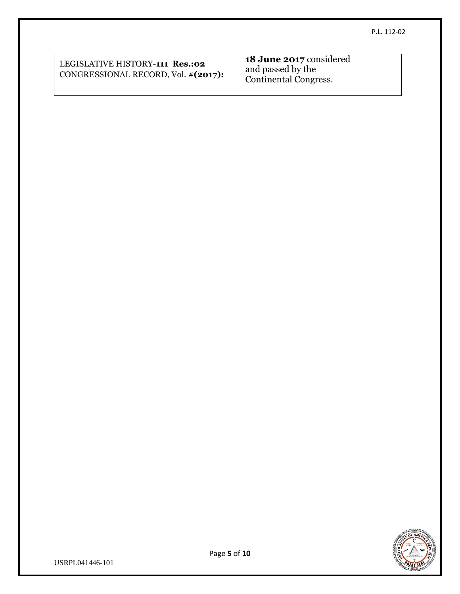LEGISLATIVE HISTORY-**111 Res.:02** CONGRESSIONAL RECORD, Vol. #**(2017):** **18 June 2017** considered and passed by the Continental Congress.



USRPL041446-101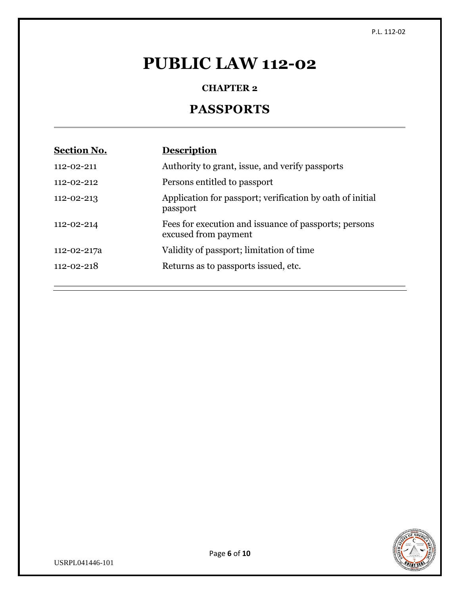# **PUBLIC LAW 112-02**

# **CHAPTER 2**

# **PASSPORTS**

| <b>Section No.</b> | <b>Description</b>                                                            |
|--------------------|-------------------------------------------------------------------------------|
| 112-02-211         | Authority to grant, issue, and verify passports                               |
| $112 - 02 - 212$   | Persons entitled to passport                                                  |
| 112-02-213         | Application for passport; verification by oath of initial<br>passport         |
| 112-02-214         | Fees for execution and issuance of passports; persons<br>excused from payment |
| 112-02-217a        | Validity of passport; limitation of time                                      |
| $112 - 02 - 218$   | Returns as to passports issued, etc.                                          |

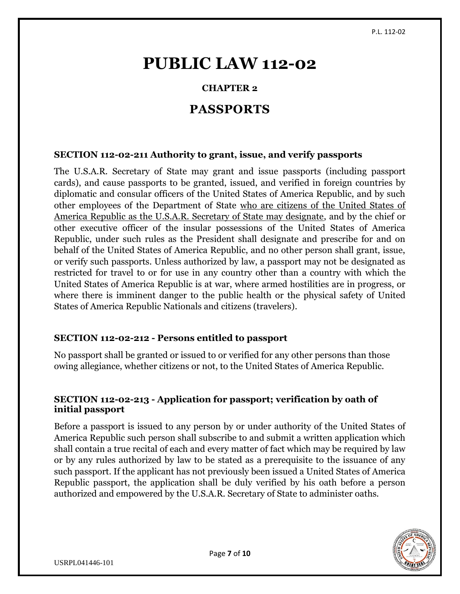# **PUBLIC LAW 112-02**

# **CHAPTER 2**

# **PASSPORTS**

# **SECTION 112-02-211 Authority to grant, issue, and verify passports**

The U.S.A.R. Secretary of State may grant and issue passports (including passport cards), and cause passports to be granted, issued, and verified in foreign countries by diplomatic and consular officers of the United States of America Republic, and by such other employees of the Department of State who are citizens of the United States of America Republic as the U.S.A.R. Secretary of State may designate, and by the chief or other executive officer of the insular possessions of the United States of America Republic, under such rules as the President shall designate and prescribe for and on behalf of the United States of America Republic, and no other person shall grant, issue, or verify such passports. Unless authorized by law, a passport may not be designated as restricted for travel to or for use in any country other than a country with which the United States of America Republic is at war, where armed hostilities are in progress, or where there is imminent danger to the public health or the physical safety of United States of America Republic Nationals and citizens (travelers).

# **SECTION 112-02-212 - Persons entitled to passport**

No passport shall be granted or issued to or verified for any other persons than those owing allegiance, whether citizens or not, to the United States of America Republic.

# **SECTION 112-02-213 - Application for passport; verification by oath of initial passport**

Before a passport is issued to any person by or under authority of the United States of America Republic such person shall subscribe to and submit a written application which shall contain a true recital of each and every matter of fact which may be required by law or by any rules authorized by law to be stated as a prerequisite to the issuance of any such passport. If the applicant has not previously been issued a United States of America Republic passport, the application shall be duly verified by his oath before a person authorized and empowered by the U.S.A.R. Secretary of State to administer oaths.

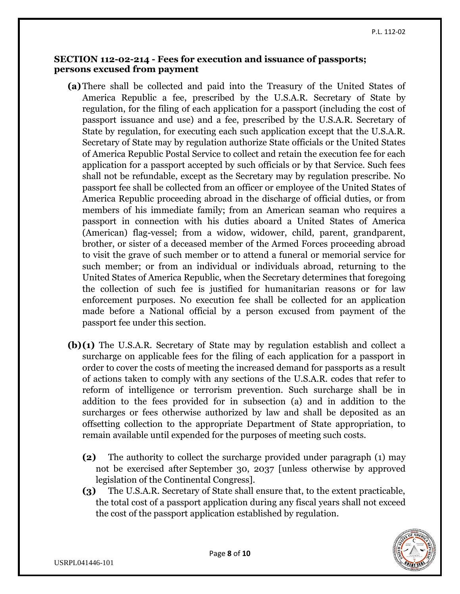### **SECTION 112-02-214 - Fees for execution and issuance of passports; persons excused from payment**

- **(a)**There shall be collected and paid into the Treasury of the United States of America Republic a fee, prescribed by the U.S.A.R. Secretary of State by regulation, for the filing of each application for a passport (including the cost of passport issuance and use) and a fee, prescribed by the U.S.A.R. Secretary of State by regulation, for executing each such application except that the U.S.A.R. Secretary of State may by regulation authorize State officials or the United States of America Republic Postal Service to collect and retain the execution fee for each application for a passport accepted by such officials or by that Service. Such fees shall not be refundable, except as the Secretary may by regulation prescribe. No passport fee shall be collected from an officer or employee of the United States of America Republic proceeding abroad in the discharge of official duties, or from members of his immediate family; from an American seaman who requires a passport in connection with his duties aboard a United States of America (American) flag-vessel; from a widow, widower, child, parent, grandparent, brother, or sister of a deceased member of the Armed Forces proceeding abroad to visit the grave of such member or to attend a funeral or memorial service for such member; or from an individual or individuals abroad, returning to the United States of America Republic, when the Secretary determines that foregoing the collection of such fee is justified for humanitarian reasons or for law enforcement purposes. No execution fee shall be collected for an application made before a National official by a person excused from payment of the passport fee under this section.
- **(b)(1)** The U.S.A.R. Secretary of State may by regulation establish and collect a surcharge on applicable fees for the filing of each application for a passport in order to cover the costs of meeting the increased demand for passports as a result of actions taken to comply with any sections of the U.S.A.R. codes that refer to reform of intelligence or terrorism prevention. Such surcharge shall be in addition to the fees provided for in subsection (a) and in addition to the surcharges or fees otherwise authorized by law and shall be deposited as an offsetting collection to the appropriate Department of State appropriation, to remain available until expended for the purposes of meeting such costs.
	- **(2)** The authority to collect the surcharge provided under paragraph (1) may not be exercised after September 30, 2037 [unless otherwise by approved legislation of the Continental Congress].
	- **(3)** The U.S.A.R. Secretary of State shall ensure that, to the extent practicable, the total cost of a passport application during any fiscal years shall not exceed the cost of the passport application established by regulation.

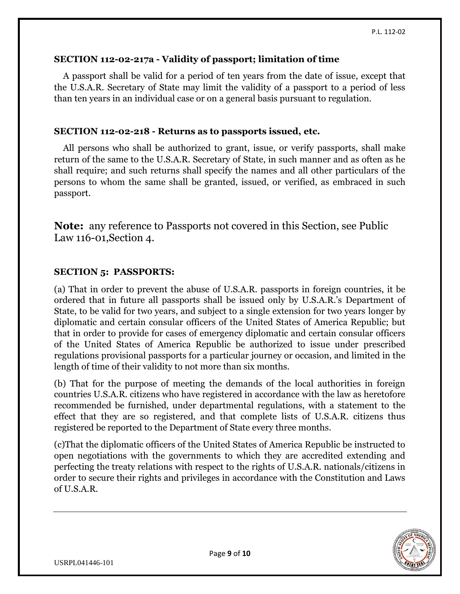### **SECTION 112-02-217a - Validity of passport; limitation of time**

A passport shall be valid for a period of ten years from the date of issue, except that the U.S.A.R. Secretary of State may limit the validity of a passport to a period of less than ten years in an individual case or on a general basis pursuant to regulation.

### **SECTION 112-02-218 - Returns as to passports issued, etc.**

All persons who shall be authorized to grant, issue, or verify passports, shall make return of the same to the U.S.A.R. Secretary of State, in such manner and as often as he shall require; and such returns shall specify the names and all other particulars of the persons to whom the same shall be granted, issued, or verified, as embraced in such passport.

**Note:** any reference to Passports not covered in this Section, see Public Law 116-01,Section 4.

### **SECTION 5: PASSPORTS:**

(a) That in order to prevent the abuse of U.S.A.R. passports in foreign countries, it be ordered that in future all passports shall be issued only by U.S.A.R.'s Department of State, to be valid for two years, and subject to a single extension for two years longer by diplomatic and certain consular officers of the United States of America Republic; but that in order to provide for cases of emergency diplomatic and certain consular officers of the United States of America Republic be authorized to issue under prescribed regulations provisional passports for a particular journey or occasion, and limited in the length of time of their validity to not more than six months.

(b) That for the purpose of meeting the demands of the local authorities in foreign countries U.S.A.R. citizens who have registered in accordance with the law as heretofore recommended be furnished, under departmental regulations, with a statement to the effect that they are so registered, and that complete lists of U.S.A.R. citizens thus registered be reported to the Department of State every three months.

(c)That the diplomatic officers of the United States of America Republic be instructed to open negotiations with the governments to which they are accredited extending and perfecting the treaty relations with respect to the rights of U.S.A.R. nationals/citizens in order to secure their rights and privileges in accordance with the Constitution and Laws of U.S.A.R.